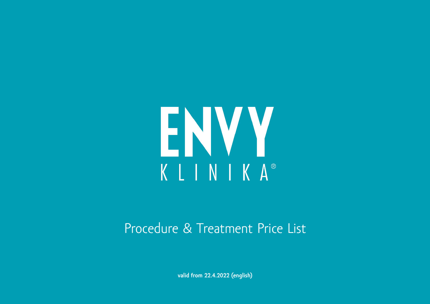

### Procedure & Treatment Price List

**valid from 22.4.2022 (english)**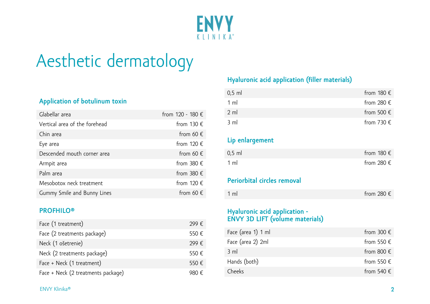

### Aesthetic dermatology

#### **Application of botulinum toxin**

| Glabellar area                | from 120 - 180 €    |
|-------------------------------|---------------------|
| Vertical area of the forehead | from 130 $\epsilon$ |
| Chin area                     | from 60 $\epsilon$  |
| Eye area                      | from 120 $\epsilon$ |
| Descended mouth corner area   | from 60 $\epsilon$  |
| Armpit area                   | from 380 $\epsilon$ |
| Palm area                     | from 380 $\epsilon$ |
| Mesobotox neck treatment      | from 120 $\epsilon$ |
| Gummy Smile and Bunny Lines   | from 60 $\epsilon$  |

#### **PROFHILO®**

| Face (1 treatment)                 | 299€  |
|------------------------------------|-------|
| Face (2 treatments package)        | 550€  |
| Neck (1 ošetrenie)                 | 299€  |
| Neck (2 treatments package)        | 550€  |
| Face + Neck (1 treatment)          | 550€  |
| Face + Neck (2 treatments package) | 980 € |

#### **Hyaluronic acid application (filler materials)**

| $0,5$ ml       | from 180 $\epsilon$ |
|----------------|---------------------|
| 1 ml           | from 280 $\epsilon$ |
| $2 \text{ ml}$ | from 500 $\epsilon$ |
| $3 \text{ ml}$ | from 730 $\epsilon$ |

#### **Lip enlargement**

| $0.5$ ml       | from 180 $\epsilon$ |
|----------------|---------------------|
| $1 \text{ ml}$ | from 280 $\epsilon$ |

#### **Periorbital circles removal**

| $1 \text{ ml}$ | from 280 $\epsilon$ |
|----------------|---------------------|
|----------------|---------------------|

#### **Hyaluronic acid application - ENVY 3D LIFT (volume materials)**

| Face (area 1) 1 ml | from 300 $\epsilon$ |
|--------------------|---------------------|
| Face (area 2) 2ml  | from 550 $\epsilon$ |
| $3 \text{ ml}$     | from 800 $\epsilon$ |
| Hands (both)       | from 550 $\epsilon$ |
| Cheeks             | from 540 $\epsilon$ |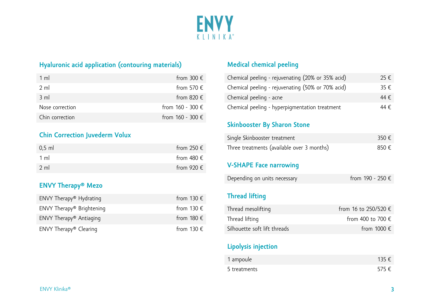

#### **Hyaluronic acid application (contouring materials)**

| $1 \text{ ml}$  | from 300 $\epsilon$  |
|-----------------|----------------------|
| $2 \text{ ml}$  | from 570 $\epsilon$  |
| $3 \text{ ml}$  | from 820 $\epsilon$  |
| Nose correction | from $160 - 300 \in$ |
| Chin correction | from $160 - 300 \in$ |

#### **Chin Correction Juvederm Volux**

| $0.5$ ml       | from 250 $\epsilon$ |
|----------------|---------------------|
| $1 \text{ ml}$ | from 480 $\epsilon$ |
| $2 \text{ ml}$ | from 920 $\epsilon$ |

#### **ENVY Therapy® Mezo**

| $ENVY$ Therapy <sup>®</sup> Hydrating   | from 130 $\epsilon$ |
|-----------------------------------------|---------------------|
| $ENVY$ Therapy <sup>®</sup> Brightening | from 130 $\epsilon$ |
| $ENVY$ Therapy <sup>®</sup> Antiaging   | from 180 $\epsilon$ |
| ENVY Therapy® Clearing                  | from 130 $\epsilon$ |

#### **Medical chemical peeling**

| Chemical peeling - rejuvenating (20% or 35% acid) | 25 € |
|---------------------------------------------------|------|
| Chemical peeling - rejuvenating (50% or 70% acid) | 35 E |
| Chemical peeling - acne                           | 44 E |
| Chemical peeling - hyperpigmentation treatment    | 44 E |

#### **Skinbooster By Sharon Stone**

| Single Skinbooster treatment               | 350 € |
|--------------------------------------------|-------|
| Three treatments (available over 3 months) | 850€  |

#### **V-SHAPE Face narrowing**

| Depending on units necessary | from 190 - 250 € |
|------------------------------|------------------|
|------------------------------|------------------|

#### **Thread lifting**

| Thread mesolifting           | from 16 to 250/520 €       |
|------------------------------|----------------------------|
| Thread lifting               | from 400 to 700 $\epsilon$ |
| Silhouette soft lift threads | from 1000 $\epsilon$       |

#### **Lipolysis injection**

| 1 ampoule    | 135 $\epsilon$ |
|--------------|----------------|
| 5 treatments | 575€           |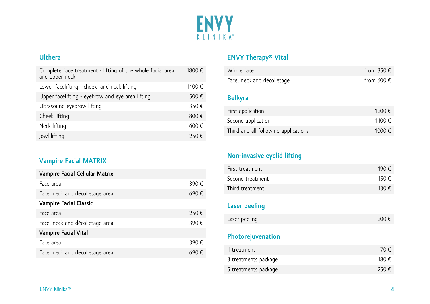

#### **Ulthera**

| Complete face treatment - lifting of the whole facial area<br>and upper neck | 1800 € |
|------------------------------------------------------------------------------|--------|
| Lower facelifting - cheek- and neck lifting                                  | 1400 € |
| Upper facelifting - eyebrow and eye area lifting                             | 500 €  |
| Ultrasound eyebrow lifting                                                   | 350 €  |
| Cheek lifting                                                                | 800 €  |
| Neck lifting                                                                 | 600€   |
| Jowl lifting                                                                 | 250 E  |

#### **Vampire Facial MATRIX**

| Vampire Facial Cellular Matrix  |       |
|---------------------------------|-------|
| Face area                       | 390 € |
| Face, neck and décolletage area | 690€  |
| <b>Vampire Facial Classic</b>   |       |
| Face area                       | 250 € |
| Face, neck and décolletage area | 390 € |
| <b>Vampire Facial Vital</b>     |       |
| Face area                       | 390 € |
| Face, neck and décolletage area |       |

### **ENVY Therapy® Vital**

| Whole face                           | from 350 $\epsilon$ |
|--------------------------------------|---------------------|
| Face, neck and décolletage           | from 600 $\epsilon$ |
|                                      |                     |
| <b>Belkyra</b>                       |                     |
| First application                    | 1200 €              |
| Second application                   | 1100€               |
| Third and all following applications | 1000 €              |
|                                      |                     |

#### **Non -invasive eyelid lifting**

| First treatment  | 190 F |
|------------------|-------|
| Second treatment | 150 E |
| Third treatment  | 130 E |

#### **Laser peeling**

#### **Photorejuvenation**

| 1 treatment          | 70 E  |
|----------------------|-------|
| 3 treatments package | 180 € |
| 5 treatments package | 250€  |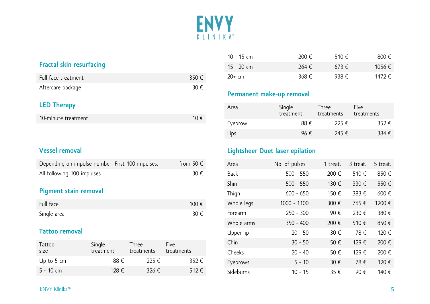

#### **Fractal skin resurfacing**

| Full face treatment | 350 € |
|---------------------|-------|
| Aftercare package   | 30 €  |

#### **LED Therapy**

| 10-minute treatment | 10 € |
|---------------------|------|
|                     |      |

#### **Vessel removal**

| Depending on impulse number. First 100 impulses. | from 50 $\epsilon$ |
|--------------------------------------------------|--------------------|
| All following 100 impulses                       | 30 E               |

#### **Pigment stain removal**

| Full face   | 100 € |
|-------------|-------|
| Single area | 30 €  |

#### **Tattoo removal**

| Tattoo<br>size       | Single<br>treatment | Three<br>treatments | Five<br>treatments |
|----------------------|---------------------|---------------------|--------------------|
| Up to $5 \text{ cm}$ | 88 E                | 225 €               | 352€               |
| $5 - 10$ cm          | 128 €               | 326 $\epsilon$      | 512 $E$            |

| 10 - 15 cm | 200 €          | 510€           | 800€   |
|------------|----------------|----------------|--------|
| 15 - 20 cm | 264 $\epsilon$ | 673 $E$        | 1056 € |
| $20+$ cm   | 368 €          | 938 $\epsilon$ | 1472 € |

#### **Permanent make-up removal**

| Area    | Single<br>treatment | Three<br>treatments | Five<br>treatments |
|---------|---------------------|---------------------|--------------------|
| Eyebrow | 88 E                | 225 $\epsilon$      | 352 $\epsilon$     |
| Lips    | 96 E                | 245 €               | 384 €              |

#### **Lightsheer Duet laser epilation**

| Area        | No. of pulses | 1 treat. | 3 treat. | 5 treat. |
|-------------|---------------|----------|----------|----------|
| <b>Back</b> | $500 - 550$   | 200 €    | 510€     | 850€     |
| Shin        | $500 - 550$   | 130 €    | 330 €    | 550€     |
| Thigh       | $600 - 650$   | 150 €    | 383 €    | 600€     |
| Whole legs  | 1000 - 1100   | 300 €    | 765 €    | 1200 €   |
| Forearm     | $250 - 300$   | 90€      | 230 €    | 380 €    |
| Whole arms  | $350 - 400$   | 200 €    | 510€     | 850€     |
| Upper lip   | $20 - 50$     | 30 €     | 78€      | 120 €    |
| Chin        | $30 - 50$     | 50€      | 129 €    | 200 €    |
| Cheeks      | $20 - 40$     | 50€      | 129 €    | 200€     |
| Eyebrows    | $5 - 10$      | 30 €     | 78€      | 120 €    |
| Sideburns   | $10 - 15$     | 35 €     | 90€      | 140 €    |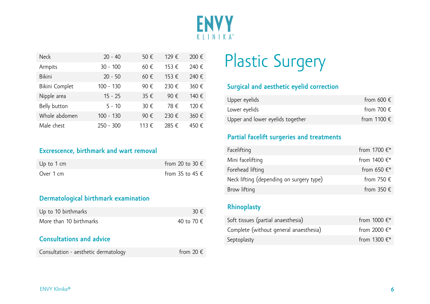

| <b>Neck</b>    | $20 - 40$   | 50€   | 129 € | 200€  |
|----------------|-------------|-------|-------|-------|
| Armpits        | $30 - 100$  | 60€   | 153 € | 240 € |
| <b>Bikini</b>  | $20 - 50$   | 60€   | 153 € | 240 € |
| Bikini Complet | 100 - 130   | 90€   | 230 € | 360 € |
| Nipple area    | $15 - 25$   | 35 €  | 90€   | 140 € |
| Belly button   | $5 - 10$    | 30 €  | 78 €  | 120 € |
| Whole abdomen  | 100 - 130   | 90€   | 230 € | 360 € |
| Male chest     | $250 - 300$ | 113 € | 285 € | 450€  |

#### **Excrescence, birthmark and wart removal**

| Up to $1 \text{ cm}$ | from 20 to 30 $\epsilon$ |
|----------------------|--------------------------|
| Over 1 cm            | from 35 to 45 $\epsilon$ |

#### **Dermatological birthmark examination**

| Up to 10 birthmarks                  | 30 E               |
|--------------------------------------|--------------------|
| More than 10 birthmarks              | 40 to 70 €         |
| <b>Consultations and advice</b>      |                    |
| Consultation - aesthetic dermatology | from 20 $\epsilon$ |

## Plastic Surgery

#### **Surgical and aesthetic eyelid correction**

| Upper eyelids                    | from 600 $\epsilon$  |
|----------------------------------|----------------------|
| Lower eyelids                    | from 700 $\epsilon$  |
| Upper and lower eyelids together | from 1100 $\epsilon$ |

#### **Partial facelift surgeries and treatments**

| Facelifting                              | from 1700 €*        |
|------------------------------------------|---------------------|
| Mini facelifting                         | from $1400 \in$ *   |
| Forehead lifting                         | from 650 $\in$ *    |
| Neck lifting (depending on surgery type) | from 750 $\epsilon$ |
| Brow lifting                             | from 350 $\epsilon$ |

#### **Rhinoplasty**

| Soft tissues (partial anaesthesia)     | from $1000 \in$ * |
|----------------------------------------|-------------------|
| Complete (without general anaesthesia) | from 2000 $\in^*$ |
| Septoplasty                            | from 1300 $\in$ * |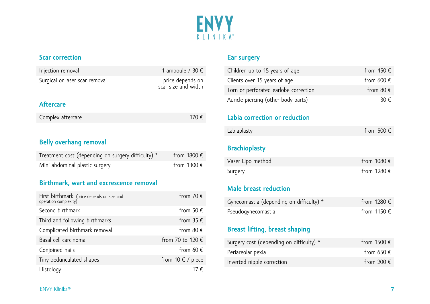

#### **Scar correction**

| Injection removal                                  | 1 ampoule / 30 $\epsilon$               |
|----------------------------------------------------|-----------------------------------------|
| Surgical or laser scar removal                     | price depends on<br>scar size and width |
| <b>Aftercare</b>                                   |                                         |
| Complex aftercare                                  | 170 €                                   |
|                                                    |                                         |
| <b>Belly overhang removal</b>                      |                                         |
| Treatment cost (depending on surgery difficulty) * | from $1800 \in$                         |
| Mini abdominal plastic surgery                     | from 1300 $\epsilon$                    |
| Birthmark, wart and excrescence removal            |                                         |

| First birthmark (price depends on size and<br>operation complexity) | from 70 $\epsilon$         |
|---------------------------------------------------------------------|----------------------------|
| Second birthmark                                                    | from 50 $\epsilon$         |
| Third and following birthmarks                                      | from 35 $\epsilon$         |
| Complicated birthmark removal                                       | from 80 $\epsilon$         |
| Basal cell carcinoma                                                | from 70 to 120 €           |
| Conjoined nails                                                     | from 60 $\epsilon$         |
| Tiny pedunculated shapes                                            | from 10 $\epsilon$ / piece |
| Histology                                                           | ′ €                        |

#### **Ear surgery**

| Children up to 15 years of age        | from 450 $\epsilon$ |
|---------------------------------------|---------------------|
| Clients over 15 years of age          | from 600 $\epsilon$ |
| Torn or perforated earlobe correction | from 80 $\epsilon$  |
| Auricle piercing (other body parts)   | 30 E                |

#### **Labia correction or reduction**

| Labiaplasty | from 500 $\in$ |
|-------------|----------------|
|-------------|----------------|

#### **Brachioplasty**

| Vaser Lipo method | from 1080 $\epsilon$ |
|-------------------|----------------------|
| Surgery           | from 1280 $\epsilon$ |

#### **Male breast reduction**

| Gynecomastia (depending on difficulty) * | from 1280 $\epsilon$ |
|------------------------------------------|----------------------|
| Pseudogynecomastia                       | from 1150 €          |

#### **Breast lifting, breast shaping**

| Surgery cost (depending on difficulty) * | from 1500 $\in$     |
|------------------------------------------|---------------------|
| Periareolar pexia                        | from 650 $\epsilon$ |
| Inverted nipple correction               | from 200 $\epsilon$ |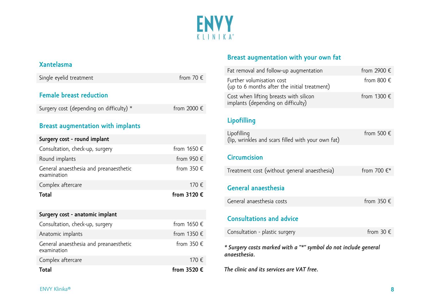

#### **Xantelasma**

| Single eyelid treatment                  | from 70 $\epsilon$   |
|------------------------------------------|----------------------|
| <b>Female breast reduction</b>           |                      |
| Surgery cost (depending on difficulty) * | from 2000 $\epsilon$ |
|                                          |                      |

#### **Breast augmentation with implants**

| Surgery cost - round implant                          |                      |
|-------------------------------------------------------|----------------------|
| Consultation, check-up, surgery                       | from $1650 \in$      |
| Round implants                                        | from 950 $\epsilon$  |
| General anaesthesia and preanaesthetic<br>examination | from 350 $\epsilon$  |
| Complex aftercare                                     | 170 €                |
| <b>Total</b>                                          | from 3120 $\epsilon$ |

| Surgery cost - anatomic implant                       |                     |
|-------------------------------------------------------|---------------------|
| Consultation, check-up, surgery                       | from $1650 \in$     |
| Anatomic implants                                     | from 1350 €         |
| General anaesthesia and preanaesthetic<br>examination | from 350 $\epsilon$ |
| Complex aftercare                                     | 170 €               |
| <b>Total</b>                                          | from 3520 €         |

#### **Breast augmentation with your own fat**

| Fat removal and follow-up augmentation                                       | from 2900 $\epsilon$ |
|------------------------------------------------------------------------------|----------------------|
| Further volumisation cost<br>(up to 6 months after the initial treatment)    | from 800 $\epsilon$  |
| Cost when lifting breasts with silicon<br>implants (depending on difficulty) | from 1300 $\epsilon$ |

#### **Lipofilling**

| Lipofilling<br>(lip, wrinkles and scars filled with your own fat)               | from 500 $\epsilon$ |
|---------------------------------------------------------------------------------|---------------------|
| <b>Circumcision</b>                                                             |                     |
| Treatment cost (without general anaesthesia)                                    | from 700 €*         |
| General anaesthesia                                                             |                     |
| General anaesthesia costs                                                       | from $350 \in$      |
| <b>Consultations and advice</b>                                                 |                     |
| Consultation - plastic surgery                                                  | from 30 $\epsilon$  |
| * Surgery costs marked with a "*" symbol do not include general<br>anaesthesia. |                     |
| The clinic and its services are VAT free.                                       |                     |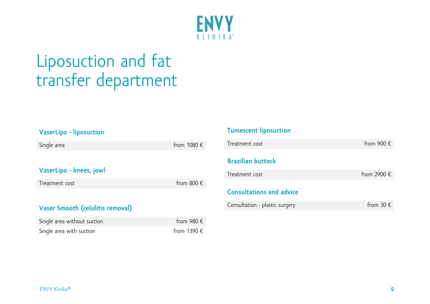

### Liposuction and fat transfer department

| <b>VaserLipo - liposuction</b>   |                      |
|----------------------------------|----------------------|
| Single area                      | from $1080 \in$      |
|                                  |                      |
| VaserLipo - knees, jowl          |                      |
| Treatment cost                   | from 800 $\epsilon$  |
| Vaser Smooth (celulitis removal) |                      |
|                                  |                      |
| Single area without suction      | from 980 $\epsilon$  |
| Single area with suction         | from 1390 $\epsilon$ |

### **Tumescent liposuction** Treatment cost  $\blacksquare$  Treatment cost  $\blacksquare$ **Brazilian buttock** Treatment cost  $f$  from 2900  $\epsilon$ **Consultations and advice** Consultation - plastic surgery  $\blacksquare$  from 30  $\epsilon$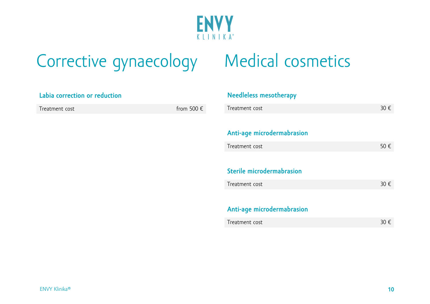

### Corrective gynaecology Medical cosmetics

#### **Needleless mesotherapy**

| Treatment cost                    | 30 $\epsilon$ |
|-----------------------------------|---------------|
|                                   |               |
| <b>Anti-age microdermabrasion</b> |               |

| Treatment cost |  |
|----------------|--|
|----------------|--|

#### **Sterile microdermabrasion**

| Treatment cost |  |
|----------------|--|
|----------------|--|

#### **Anti-age microdermabrasion**

| Labia correction or reduction |
|-------------------------------|
| Treatment cost                |
|                               |

from 500  $\epsilon$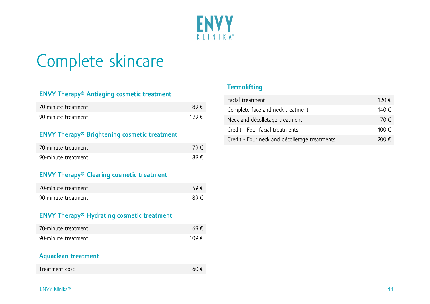

### Complete skincare

#### **ENVY Therapy® Antiaging cosmetic treatment**

| 70-minute treatment | 89F   |
|---------------------|-------|
| 90-minute treatment | 129 E |

#### **ENVY Therapy® Brightening cosmetic treatment**

| 70-minute treatment | 79€ |
|---------------------|-----|
| 90-minute treatment | 89€ |

#### **ENVY Therapy® Clearing cosmetic treatment**

| 70-minute treatment | 59€ |
|---------------------|-----|
| 90-minute treatment | 89€ |

#### **ENVY Therapy® Hydrating cosmetic treatment**

| 70-minute treatment | 69€  |
|---------------------|------|
| 90-minute treatment | 109€ |

#### **Aquaclean treatment**

| Treatment cost | 60 € |
|----------------|------|
|----------------|------|

#### **Termolifting**

| Facial treatment                              | 120 $\epsilon$ |
|-----------------------------------------------|----------------|
| Complete face and neck treatment              | 140 €          |
| Neck and décolletage treatment                | 70 E           |
| Credit - Four facial treatments               | 400 €          |
| Credit - Four neck and décolletage treatments | 200 E          |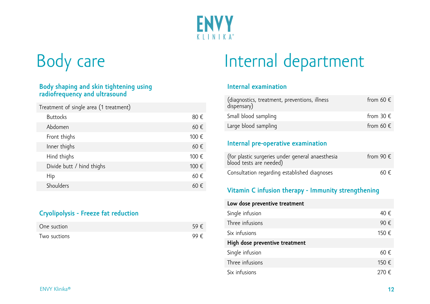

# Body care

#### **Body shaping and skin tightening using radiofrequency and ultrasound**

| Treatment of single area (1 treatment) |       |
|----------------------------------------|-------|
| <b>Buttocks</b>                        | 80€   |
| Abdomen                                | 60€   |
| Front thighs                           | 100 € |
| Inner thighs                           | 60€   |
| Hind thighs                            | 100 € |
| Divide butt / hind thighs              | 100 € |
| Hip                                    | 60€   |
| Shoulders                              | ) €   |

#### **Cryolipolysis - Freeze fat reduction**

| One suction  | 59€ |
|--------------|-----|
| Two suctions | 99€ |

## Internal department

#### **Internal examination**

| (diagnostics, treatment, preventions, illness<br>dispensary) | from 60 $\epsilon$ |
|--------------------------------------------------------------|--------------------|
| Small blood sampling                                         | from 30 $\epsilon$ |
| Large blood sampling                                         | from 60 $\epsilon$ |

#### **Internal pre-operative examination**

| (for plastic surgeries under general anaesthesia<br>blood tests are needed) | from 90 $\epsilon$ |
|-----------------------------------------------------------------------------|--------------------|
| Consultation regarding established diagnoses                                | 60 $\epsilon$      |

#### **Vitamin C infusion therapy - Immunity strengthening**

| Low dose preventive treatment  |       |
|--------------------------------|-------|
| Single infusion                | 40 €  |
| Three infusions                | 90€   |
| Six infusions                  | 150 € |
| High dose preventive treatment |       |
| Single infusion                | 60€   |
| Three infusions                | 150 € |
| Six infusions                  | 270 € |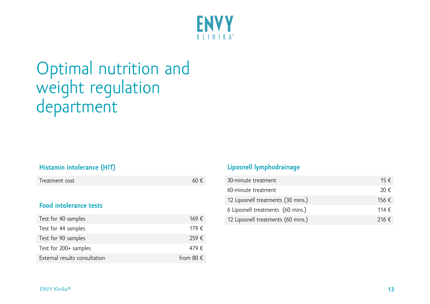

### Optimal nutrition and weight regulation department

#### **Histamin intolerance (HIT)**

| Treatment cost | 60 € |
|----------------|------|
|----------------|------|

#### **Food intolerance tests**

| Test for 40 samples           | 169 €              |
|-------------------------------|--------------------|
| Test for 44 samples           | 179 €              |
| Test for 90 samples           | 259€               |
| Test for 200+ samples         | 479 €              |
| External results consultation | from 80 $\epsilon$ |

#### **Liposnell lymphodrainage**

| 30-minute treatment                | 15 $\epsilon$  |
|------------------------------------|----------------|
| 60-minute treatment                | 20 E           |
| 12 Liposnell treatments (30 mins.) | 156 €          |
| 6 Liposnell treatments (60 mins.)  | 114 $\epsilon$ |
| 12 Liposnell treatments (60 mins.) | 216 $\epsilon$ |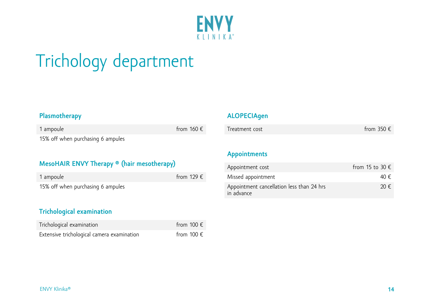

# Trichology department

#### **Plasmotherapy**

| 1 ampoule                         | from $160 \in$ |
|-----------------------------------|----------------|
| 15% off when purchasing 6 ampules |                |

#### **MesoHAIR ENVY Therapy ® (hair mesotherapy)**

| 1 ampoule                         | from 129 $\epsilon$ |  |
|-----------------------------------|---------------------|--|
| 15% off when purchasing 6 ampules |                     |  |

#### **Trichological examination**

| Trichological examination                  | from 100 $\epsilon$ |
|--------------------------------------------|---------------------|
| Extensive trichological camera examination | from 100 $\epsilon$ |

#### **ALOPECIAgen**

| Treatment cost | from 350 $\epsilon$ |
|----------------|---------------------|
|----------------|---------------------|

#### **Appointments**

| Appointment cost                                        | from 15 to 30 $\epsilon$ |
|---------------------------------------------------------|--------------------------|
| Missed appointment                                      | 40 E                     |
| Appointment cancellation less than 24 hrs<br>in advance | 20 $\epsilon$            |